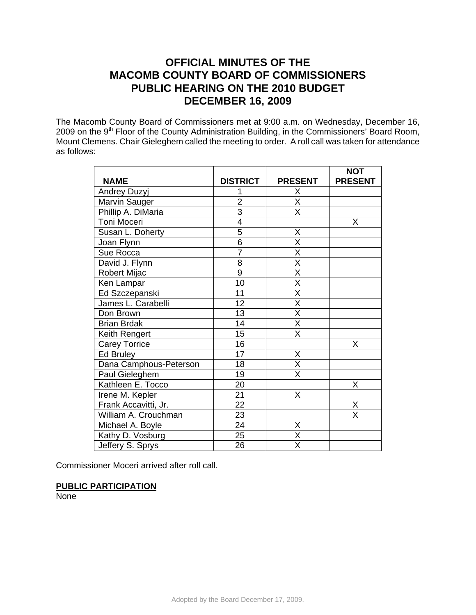# **OFFICIAL MINUTES OF THE MACOMB COUNTY BOARD OF COMMISSIONERS PUBLIC HEARING ON THE 2010 BUDGET DECEMBER 16, 2009**

The Macomb County Board of Commissioners met at 9:00 a.m. on Wednesday, December 16, 2009 on the 9<sup>th</sup> Floor of the County Administration Building, in the Commissioners' Board Room, Mount Clemens. Chair Gieleghem called the meeting to order. A roll call was taken for attendance as follows:

|                        |                 |                         | <b>NOT</b>              |
|------------------------|-----------------|-------------------------|-------------------------|
| <b>NAME</b>            | <b>DISTRICT</b> | <b>PRESENT</b>          | <b>PRESENT</b>          |
| <b>Andrey Duzyj</b>    |                 | X                       |                         |
| Marvin Sauger          | $\overline{2}$  | $\overline{X}$          |                         |
| Phillip A. DiMaria     | $\overline{3}$  | $\overline{\sf x}$      |                         |
| Toni Moceri            | $\overline{4}$  |                         | X                       |
| Susan L. Doherty       | $\overline{5}$  | X                       |                         |
| Joan Flynn             | $\overline{6}$  | $\overline{X}$          |                         |
| Sue Rocca              | $\overline{7}$  | $\overline{\mathsf{x}}$ |                         |
| David J. Flynn         | 8               | $\overline{\mathsf{x}}$ |                         |
| <b>Robert Mijac</b>    | $\overline{9}$  | $\overline{\mathsf{x}}$ |                         |
| Ken Lampar             | 10              | $\overline{\mathsf{x}}$ |                         |
| Ed Szczepanski         | 11              | $\overline{X}$          |                         |
| James L. Carabelli     | 12              | $\overline{\mathsf{x}}$ |                         |
| Don Brown              | 13              | $\overline{\mathsf{x}}$ |                         |
| <b>Brian Brdak</b>     | 14              | $\overline{\mathsf{x}}$ |                         |
| Keith Rengert          | 15              | $\overline{\mathsf{x}}$ |                         |
| <b>Carey Torrice</b>   | 16              |                         | Χ                       |
| Ed Bruley              | 17              | X                       |                         |
| Dana Camphous-Peterson | 18              | $\overline{\mathsf{x}}$ |                         |
| Paul Gieleghem         | 19              | $\overline{\mathsf{x}}$ |                         |
| Kathleen E. Tocco      | 20              |                         | Χ                       |
| Irene M. Kepler        | $\overline{21}$ | X                       |                         |
| Frank Accavitti, Jr.   | $\overline{22}$ |                         | Χ                       |
| William A. Crouchman   | 23              |                         | $\overline{\mathsf{X}}$ |
| Michael A. Boyle       | 24              | Χ                       |                         |
| Kathy D. Vosburg       | 25              | $\overline{\mathsf{x}}$ |                         |
| Jeffery S. Sprys       | 26              | X                       |                         |

Commissioner Moceri arrived after roll call.

## **PUBLIC PARTICIPATION**

**None**